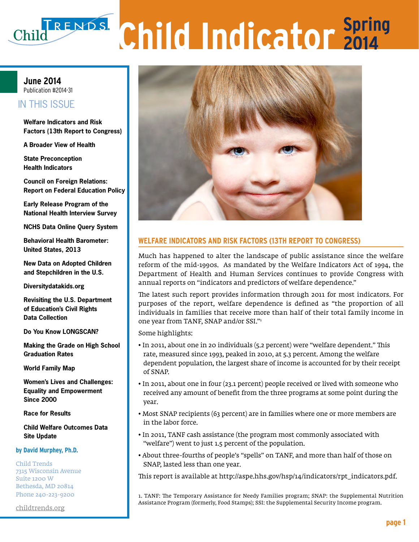# **Child Indicator Spring 2013**

# **March 28, 2013 June 2014** Publication #2014-31

#### IT IN THUS ISSUED IN THIS ISSUE

**Elizabeth Lawner Factors (13th Report to Congress) Welfare Indicators and Risk** 

**A Broader View of Health**

**State Preconception Health Indicators**

**Council on Foreign Relations: Report on Federal Education Policy**

**Early Release Program of the National Health Interview Survey**

**NCHS Data Online Query System**

**Behavioral Health Barometer: United States, 2013**

and Stepchildren in the U.S. **New Data on Adopted Children** 

Diversitude tekide era **Diversitydatakids.org** 

**Revisiting the U.S. Department** of Education's Civil Rights **Data Collection** 

**Do You Know LONGSCAN?** 

**Making the Grade on High School Graduation Rates**

**World Family Map**

**Women's Lives and Challenges: Equality and Empowerment Since 2000** 

**Race for Results**

**Child Welfare Outcomes Data Site Update**

#### **by David Murphey, Ph.D.**

Child Trends 7315 Wisconsin Avenue Suite 1200 W Bethesda, MD 20814 Phone 240-223-9200

<childtrends.org>



Much has happened to alter the landscape of public assistance since the welfare reform of the mid-1990s. As mandated by the Welfare Indicators Act of 1994, the Department of Health and Human Services continues to provide Congress with annual reports on "indicators and predictors of welfare dependence."

The latest such report provides information through 2011 for most indicators. For purposes of the report, welfare dependence is defined as "the proportion of all individuals in families that receive more than half of their total family income in one year from TANF, SNAP and/or SSI."1

Some highlights:

- In 2011, about one in 20 individuals (5.2 percent) were "welfare dependent." This rate, measured since 1993, peaked in 2010, at 5.3 percent. Among the welfare dependent population, the largest share of income is accounted for by their receipt of SNAP.
- In 2011, about one in four (23.1 percent) people received or lived with someone who received any amount of benefit from the three programs at some point during the year.
- Most SNAP recipients (63 percent) are in families where one or more members are in the labor force.
- In 2011, TANF cash assistance (the program most commonly associated with "welfare") went to just 1.5 percent of the population.
- About three-fourths of people's "spells" on TANF, and more than half of those on SNAP, lasted less than one year.

This report is available at [http://aspe.hhs.gov/hsp/14/indicators/rpt\\_indicators.pdf.](http://aspe.hhs.gov/hsp/14/indicators/rpt_indicators.pdf ) 

1. TANF: The Temporary Assistance for Needy Families program; SNAP: the Supplemental Nutrition Assistance Program (formerly, Food Stamps); SSI: the Supplemental Security Income program.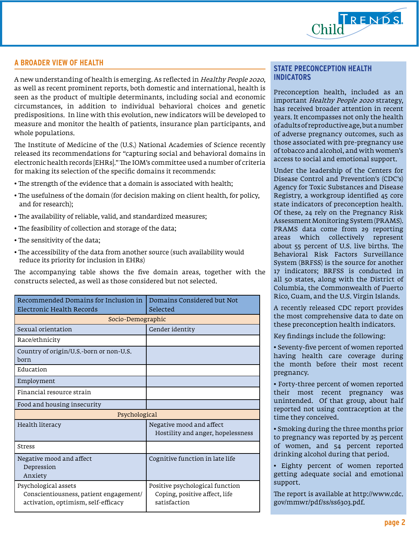

# **A BROADER VIEW OF HEALTH**

A new understanding of health is emerging. As reflected in Healthy People 2020, as well as recent prominent reports, both domestic and international, health is seen as the product of multiple determinants, including social and economic circumstances, in addition to individual behavioral choices and genetic predispositions. In line with this evolution, new indicators will be developed to measure and monitor the health of patients, insurance plan participants, and whole populations.

The Institute of Medicine of the (U.S.) National Academies of Science recently released its recommendations for "capturing social and behavioral domains in electronic health records [EHRs]." The IOM's committee used a number of criteria for making its selection of the specific domains it recommends:

- The strength of the evidence that a domain is associated with health;
- The usefulness of the domain (for decision making on client health, for policy, and for research);
- The availability of reliable, valid, and standardized measures;
- The feasibility of collection and storage of the data;
- The sensitivity of the data;
- The accessibility of the data from another source (such availability would reduce its priority for inclusion in EHRs)

The accompanying table shows the five domain areas, together with the constructs selected, as well as those considered but not selected.

| Recommended Domains for Inclusion in<br>Electronic Health Records                                     | Domains Considered but Not<br>Selected                                           |
|-------------------------------------------------------------------------------------------------------|----------------------------------------------------------------------------------|
| Socio-Demographic                                                                                     |                                                                                  |
| Sexual orientation                                                                                    | Gender identity                                                                  |
| Race/ethnicity                                                                                        |                                                                                  |
| Country of origin/U.S.-born or non-U.S.<br>born                                                       |                                                                                  |
| Education                                                                                             |                                                                                  |
| Employment                                                                                            |                                                                                  |
| Financial resource strain                                                                             |                                                                                  |
| Food and housing insecurity                                                                           |                                                                                  |
| Psychological                                                                                         |                                                                                  |
| Health literacy                                                                                       | Negative mood and affect<br>Hostility and anger, hopelessness                    |
| <b>Stress</b>                                                                                         |                                                                                  |
| Negative mood and affect<br>Depression<br>Anxiety                                                     | Cognitive function in late life                                                  |
| Psychological assets<br>Conscientiousness, patient engagement/<br>activation, optimism, self-efficacy | Positive psychological function<br>Coping, positive affect, life<br>satisfaction |

### **STATE PRECONCEPTION HEALTH INDICATORS**

Preconception health, included as an important Healthy People 2020 strategy, has received broader attention in recent years. It encompasses not only the health of adults of reproductive age, but a number of adverse pregnancy outcomes, such as those associated with pre-pregnancy use of tobacco and alcohol, and with women's access to social and emotional support.

Under the leadership of the Centers for Disease Control and Prevention's (CDC's) Agency for Toxic Substances and Disease Registry, a workgroup identified 45 core state indicators of preconception health. Of these, 24 rely on the Pregnancy Risk Assessment Monitoring System (PRAMS). PRAMS data come from 29 reporting areas which collectively represent about 55 percent of U.S. live births. The Behavioral Risk Factors Surveillance System (BRFSS) is the source for another 17 indicators; BRFSS is conducted in all 50 states, along with the District of Columbia, the Commonwealth of Puerto Rico, Guam, and the U.S. Virgin Islands.

A recently released CDC report provides the most comprehensive data to date on these preconception health indicators.

Key findings include the following:

• Seventy-five percent of women reported having health care coverage during the month before their most recent pregnancy.

• Forty-three percent of women reported their most recent pregnancy was unintended. Of that group, about half reported not using contraception at the time they conceived.

• Smoking during the three months prior to pregnancy was reported by 25 percent of women, and 54 percent reported drinking alcohol during that period.

• Eighty percent of women reported getting adequate social and emotional support.

The report is available at [http://www.cdc.](http://www.cdc.gov/mmwr/pdf/ss/ss6303.pdf ) [gov/mmwr/pdf/ss/ss6303.pdf.](http://www.cdc.gov/mmwr/pdf/ss/ss6303.pdf )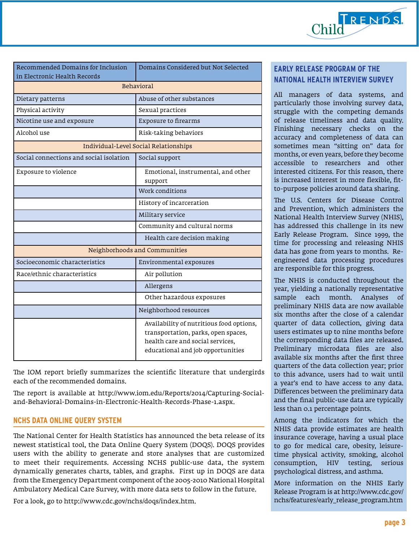

| Recommended Domains for Inclusion                 | Domains Considered but Not Selected                                                                                                                      |
|---------------------------------------------------|----------------------------------------------------------------------------------------------------------------------------------------------------------|
| in Electronic Health Records<br><b>Behavioral</b> |                                                                                                                                                          |
| Abuse of other substances<br>Dietary patterns     |                                                                                                                                                          |
|                                                   |                                                                                                                                                          |
| Physical activity                                 | Sexual practices                                                                                                                                         |
| Nicotine use and exposure                         | <b>Exposure to firearms</b>                                                                                                                              |
| Alcohol use                                       | Risk-taking behaviors                                                                                                                                    |
| Individual-Level Social Relationships             |                                                                                                                                                          |
| Social connections and social isolation           | Social support                                                                                                                                           |
| Exposure to violence                              | Emotional, instrumental, and other<br>support                                                                                                            |
|                                                   | Work conditions                                                                                                                                          |
|                                                   | History of incarceration                                                                                                                                 |
|                                                   | Military service                                                                                                                                         |
|                                                   | Community and cultural norms                                                                                                                             |
|                                                   | Health care decision making                                                                                                                              |
| Neighborhoods and Communities                     |                                                                                                                                                          |
| Socioeconomic characteristics                     | Environmental exposures                                                                                                                                  |
| Race/ethnic characteristics                       | Air pollution                                                                                                                                            |
|                                                   | Allergens                                                                                                                                                |
|                                                   | Other hazardous exposures                                                                                                                                |
|                                                   | Neighborhood resources                                                                                                                                   |
|                                                   | Availability of nutritious food options,<br>transportation, parks, open spaces,<br>health care and social services,<br>educational and job opportunities |

The IOM report briefly summarizes the scientific literature that undergirds each of the recommended domains.

The report is available at [http://www.iom.edu/Reports/2014/Capturing-Social](http://www.iom.edu/Reports/2014/Capturing-Social-and-Behavioral-Domains-in-Electronic-Health-Records-Phase-1.aspx )[and-Behavioral-Domains-in-Electronic-Health-Records-Phase-1.aspx.](http://www.iom.edu/Reports/2014/Capturing-Social-and-Behavioral-Domains-in-Electronic-Health-Records-Phase-1.aspx ) 

# **NCHS DATA ONLINE QUERY SYSTEM**

The National Center for Health Statistics has announced the beta release of its newest statistical tool, the Data Online Query System (DOQS). DOQS provides users with the ability to generate and store analyses that are customized to meet their requirements. Accessing NCHS public-use data, the system dynamically generates charts, tables, and graphs. First up in DOQS are data from the Emergency Department component of the 2005-2010 National Hospital Ambulatory Medical Care Survey, with more data sets to follow in the future.

For a look, go to [http://www.cdc.gov/nchs/doqs/index.htm.](http://www.cdc.gov/nchs/doqs/index.htm ) 

# **EARLY RELEASE PROGRAM OF THE NATIONAL HEALTH INTERVIEW SURVEY**

All managers of data systems, and particularly those involving survey data, struggle with the competing demands of release timeliness and data quality. Finishing necessary checks on the accuracy and completeness of data can sometimes mean "sitting on" data for months, or even years, before they become accessible to researchers and other interested citizens. For this reason, there is increased interest in more flexible, fitto-purpose policies around data sharing.

The U.S. Centers for Disease Control and Prevention, which administers the National Health Interview Survey (NHIS), has addressed this challenge in its new Early Release Program. Since 1999, the time for processing and releasing NHIS data has gone from years to months. Reengineered data processing procedures are responsible for this progress.

The NHIS is conducted throughout the year, yielding a nationally representative sample each month. Analyses of preliminary NHIS data are now available six months after the close of a calendar quarter of data collection, giving data users estimates up to nine months before the corresponding data files are released. Preliminary microdata files are also available six months after the first three quarters of the data collection year; prior to this advance, users had to wait until a year's end to have access to any data. Differences between the preliminary data and the final public-use data are typically less than 0.1 percentage points.

Among the indicators for which the NHIS data provide estimates are health insurance coverage, having a usual place to go for medical care, obesity, leisuretime physical activity, smoking, alcohol consumption, HIV testing, serious psychological distress, and asthma.

More information on the NHIS Early Release Program is at [http://www.cdc.gov/](http://www.cdc.gov/nchs/features/early_release_program.htm ) [nchs/features/early\\_release\\_program.htm](http://www.cdc.gov/nchs/features/early_release_program.htm )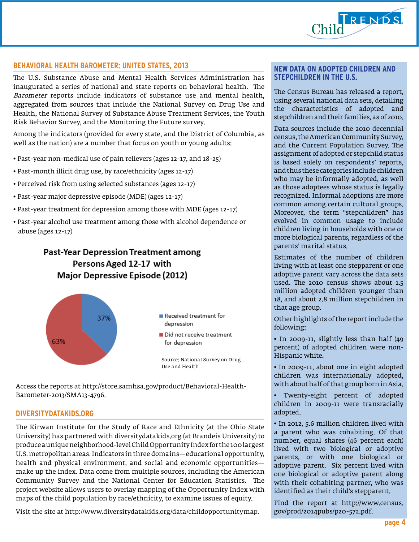

# **BEHAVIORAL HEALTH BAROMETER: UNITED STATES, 2013**

The U.S. Substance Abuse and Mental Health Services Administration has inaugurated a series of national and state reports on behavioral health. The Barometer reports include indicators of substance use and mental health, aggregated from sources that include the National Survey on Drug Use and Health, the National Survey of Substance Abuse Treatment Services, the Youth Risk Behavior Survey, and the Monitoring the Future survey.

Among the indicators (provided for every state, and the District of Columbia, as well as the nation) are a number that focus on youth or young adults:

- Past-year non-medical use of pain relievers (ages 12-17, and 18-25)
- Past-month illicit drug use, by race/ethnicity (ages 12-17)
- Perceived risk from using selected substances (ages 12-17)
- Past-year major depressive episode (MDE) (ages 12-17)
- Past-year treatment for depression among those with MDE (ages 12-17)
- Past-year alcohol use treatment among those with alcohol dependence or abuse (ages 12-17)

# **Past-Year Depression Treatment among** Persons Aged 12-17 with **Major Depressive Episode (2012)**



Access the reports at [http://store.samhsa.gov/product/Behavioral-Health-](http://store.samhsa.gov/product/Behavioral-Health-Barometer-2013/SMA13-4796 )[Barometer-2013/SMA13-4796.](http://store.samhsa.gov/product/Behavioral-Health-Barometer-2013/SMA13-4796 ) 

### **[DIVERSITYDATAKIDS.ORG](www.diversitydatakids.org)**

The Kirwan Institute for the Study of Race and Ethnicity (at the Ohio State University) has partnered with diversitydatakids.org (at Brandeis University) to produce a unique neighborhood-level Child Opportunity Index for the 100 largest U.S. metropolitan areas. Indicators in three domains—educational opportunity, health and physical environment, and social and economic opportunities make up the index. Data come from multiple sources, including the American Community Survey and the National Center for Education Statistics. The project website allows users to overlay mapping of the Opportunity Index with maps of the child population by race/ethnicity, to examine issues of equity.

Visit the site at http://www.diversitydatakids.org/data/childopportunitymap.

# **NEW DATA ON ADOPTED CHILDREN AND STEPCHILDREN IN THE U.S.**

The Census Bureau has released a report, using several national data sets, detailing the characteristics of adopted and stepchildren and their families, as of 2010.

Data sources include the 2010 decennial census, the American Community Survey, and the Current Population Survey. The assignment of adopted or stepchild status is based solely on respondents' reports, and thus these categories include children who may be informally adopted, as well as those adoptees whose status is legally recognized. Informal adoptions are more common among certain cultural groups. Moreover, the term "stepchildren" has evolved in common usage to include children living in households with one or more biological parents, regardless of the parents' marital status.

Estimates of the number of children living with at least one stepparent or one adoptive parent vary across the data sets used. The 2010 census shows about 1.5 million adopted children younger than 18, and about 2.8 million stepchildren in that age group.

Other highlights of the report include the following:

• In 2009-11, slightly less than half (49 percent) of adopted children were non-Hispanic white.

• In 2009-11, about one in eight adopted children was internationally adopted, with about half of that group born in Asia.

Twenty-eight percent of adopted children in 2009-11 were transracially adopted.

• In 2012, 5.6 million children lived with a parent who was cohabiting. Of that number, equal shares (46 percent each) lived with two biological or adoptive parents, or with one biological or adoptive parent. Six percent lived with one biological or adoptive parent along with their cohabiting partner, who was identified as their child's stepparent.

Find the report at [http://www.census.](http://www.census.gov/prod/2014pubs/p20-572.pdf) [gov/prod/2014pubs/p20-572.pdf.](http://www.census.gov/prod/2014pubs/p20-572.pdf)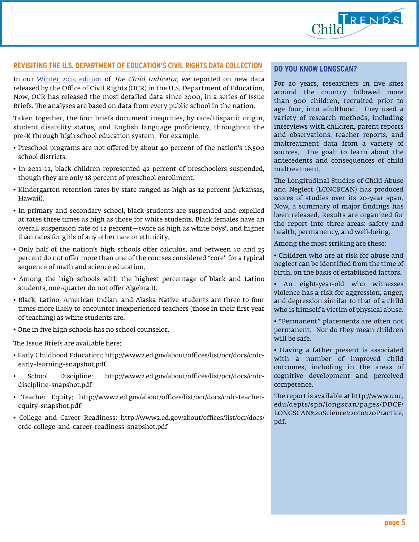

# **REVISITING THE U.S. DEPARTMENT OF EDUCATION'S CIVIL RIGHTS DATA COLLECTION**

In our [Winter 2014 edition](http://www.childtrends.org/?publications=child-indicator-winter-2014) of The Child Indicator, we reported on new data released by the Office of Civil Rights (OCR) in the U.S. Department of Education. Now, OCR has released the most detailed data since 2000, in a series of Issue Briefs. The analyses are based on data from every public school in the nation.

Taken together, the four briefs document inequities, by race/Hispanic origin, student disability status, and English language proficiency, throughout the pre-K through high school education system. For example,

- Preschool programs are not offered by about 40 percent of the nation's 16,500 school districts.
- In 2011-12, black children represented 42 percent of preschoolers suspended, though they are only 18 percent of preschool enrollment.
- Kindergarten retention rates by state ranged as high as 12 percent (Arkansas, Hawaii).
- In primary and secondary school, black students are suspended and expelled at rates three times as high as those for white students. Black females have an overall suspension rate of 12 percent—twice as high as white boys', and higher than rates for girls of any other race or ethnicity.
- Only half of the nation's high schools offer calculus, and between 10 and 25 percent do not offer more than one of the courses considered "core" for a typical sequence of math and science education.
- Among the high schools with the highest percentage of black and Latino students, one-quarter do not offer Algebra II.
- Black, Latino, American Indian, and Alaska Native students are three to four times more likely to encounter inexperienced teachers (those in their first year of teaching) as white students are.
- One in five high schools has no school counselor.

The Issue Briefs are available here:

- Early Childhood Education: [http://www2.ed.gov/about/offices/list/ocr/docs/crdc](http://www2.ed.gov/about/offices/list/ocr/docs/
crdc-early-learning-snapshot.pdf )[early-learning-snapshot.pdf](http://www2.ed.gov/about/offices/list/ocr/docs/
crdc-early-learning-snapshot.pdf )
- School Discipline: [http://www2.ed.gov/about/offices/list/ocr/docs/crdc](http://www2.ed.gov/about/offices/list/ocr/docs/crdc-
discipline-snapshot.pdf )[discipline-snapshot.pdf](http://www2.ed.gov/about/offices/list/ocr/docs/crdc-
discipline-snapshot.pdf )
- Teacher Equity: [http://www2.ed.gov/about/offices/list/ocr/docs/crdc-teacher](http://www2.ed.gov/about/offices/list/ocr/docs/crdc-teacher-
equity-snapshot.pdf )[equity-snapshot.pdf](http://www2.ed.gov/about/offices/list/ocr/docs/crdc-teacher-
equity-snapshot.pdf )
- College and Career Readiness: [http://www2.ed.gov/about/offices/list/ocr/docs/](http://www2.ed.gov/about/offices/list/ocr/docs/
crdc-college-and-career-readiness-snapshot.pdf ) [crdc-college-and-career-readiness-snapshot.pdf](http://www2.ed.gov/about/offices/list/ocr/docs/
crdc-college-and-career-readiness-snapshot.pdf )

#### **DO YOU KNOW LONGSCAN?**

For 20 years, researchers in five sites around the country followed more than 900 children, recruited prior to age four, into adulthood. They used a variety of research methods, including interviews with children, parent reports and observations, teacher reports, and maltreatment data from a variety of sources. The goal: to learn about the antecedents and consequences of child maltreatment.

The Longitudinal Studies of Child Abuse and Neglect (LONGSCAN) has produced scores of studies over its 20-year span. Now, a summary of major findings has been released. Results are organized for the report into three areas: safety and health, permanency, and well-being.

Among the most striking are these:

• Children who are at risk for abuse and neglect can be identified from the time of birth, on the basis of established factors.

• An eight-year-old who witnesses violence has a risk for aggression, anger, and depression similar to that of a child who is himself a victim of physical abuse.

• "Permanent" placements are often not permanent. Nor do they mean children will be safe.

• Having a father present is associated with a number of improved child outcomes, including in the areas of cognitive development and perceived competence.

The report is available at [http://www.unc.](http://www.unc.edu/depts/sph/longscan/pages/DDCF/LONGSCAN%20Science%20to%20Practice.pdf ) [edu/depts/sph/longscan/pages/DDCF/](http://www.unc.edu/depts/sph/longscan/pages/DDCF/LONGSCAN%20Science%20to%20Practice.pdf ) [LONGSCAN%20Science%20to%20Practice.](http://www.unc.edu/depts/sph/longscan/pages/DDCF/LONGSCAN%20Science%20to%20Practice.pdf ) [pdf.](http://www.unc.edu/depts/sph/longscan/pages/DDCF/LONGSCAN%20Science%20to%20Practice.pdf )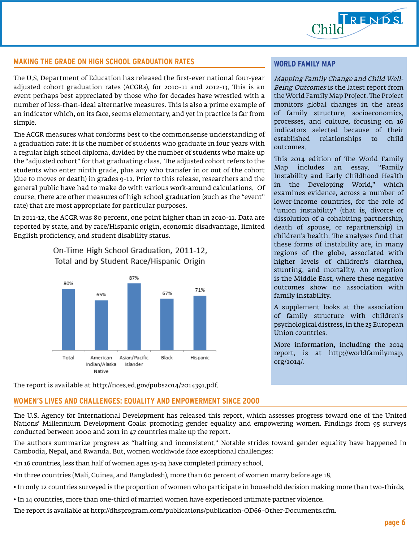

# **MAKING THE GRADE ON HIGH SCHOOL GRADUATION RATES**

The U.S. Department of Education has released the first-ever national four-year adjusted cohort graduation rates (ACGRs), for 2010-11 and 2012-13. This is an event perhaps best appreciated by those who for decades have wrestled with a number of less-than-ideal alternative measures. This is also a prime example of an indicator which, on its face, seems elementary, and yet in practice is far from simple.

The ACGR measures what conforms best to the commonsense understanding of a graduation rate: it is the number of students who graduate in four years with a regular high school diploma, divided by the number of students who make up the "adjusted cohort" for that graduating class. The adjusted cohort refers to the students who enter ninth grade, plus any who transfer in or out of the cohort (due to moves or death) in grades 9-12. Prior to this release, researchers and the general public have had to make do with various work-around calculations. Of course, there are other measures of high school graduation (such as the "event" rate) that are most appropriate for particular purposes.

In 2011-12, the ACGR was 80 percent, one point higher than in 2010-11. Data are reported by state, and by race/Hispanic origin, economic disadvantage, limited English proficiency, and student disability status.

# On-Time High School Graduation, 2011-12, Total and by Student Race/Hispanic Origin



#### **WORLD FAMILY MAP**

Mapping Family Change and Child Well-Being Outcomes is the latest report from the World Family Map Project. The Project monitors global changes in the areas of family structure, socioeconomics, processes, and culture, focusing on 16 indicators selected because of their established relationships to child outcomes.

This 2014 edition of The World Family Map includes an essay, "Family Instability and Early Childhood Health in the Developing World," which examines evidence, across a number of lower-income countries, for the role of "union instability" (that is, divorce or dissolution of a cohabiting partnership, death of spouse, or repartnership) in children's health. The analyses find that these forms of instability are, in many regions of the globe, associated with higher levels of children's diarrhea, stunting, and mortality. An exception is the Middle East, where these negative outcomes show no association with family instability.

A supplement looks at the association of family structure with children's psychological distress, in the 25 European Union countries.

More information, including the 2014 report, is at [http://worldfamilymap.](http://worldfamilymap.org/2014/ ) [org/2014/.](http://worldfamilymap.org/2014/ ) 

The report is available at <http://nces.ed.gov/pubs2014/2014391.pdf>.

# **WOMEN'S LIVES AND CHALLENGES: EQUALITY AND EMPOWERMENT SINCE 2000**

The U.S. Agency for International Development has released this report, which assesses progress toward one of the United Nations' Millennium Development Goals: promoting gender equality and empowering women. Findings from 95 surveys conducted between 2000 and 2011 in 47 countries make up the report.

The authors summarize progress as "halting and inconsistent." Notable strides toward gender equality have happened in Cambodia, Nepal, and Rwanda. But, women worldwide face exceptional challenges:

•In 16 countries, less than half of women ages 15-24 have completed primary school.

•In three countries (Mali, Guinea, and Bangladesh), more than 60 percent of women marry before age 18.

- In only 12 countries surveyed is the proportion of women who participate in household decision making more than two-thirds.
- In 14 countries, more than one-third of married women have experienced intimate partner violence.

The report is available at [http://dhsprogram.com/publications/publication-OD66-Other-Documents.cfm.](http://dhsprogram.com/publications/publication-OD66-Other-Documents.cfm)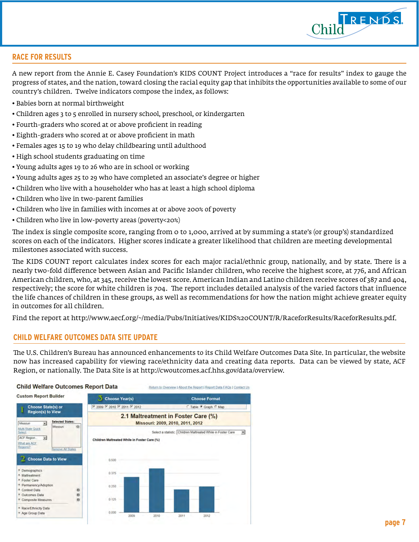

# **RACE FOR RESULTS**

A new report from the Annie E. Casey Foundation's KIDS COUNT Project introduces a "race for results" index to gauge the progress of states, and the nation, toward closing the racial equity gap that inhibits the opportunities available to some of our country's children. Twelve indicators compose the index, as follows:

- Babies born at normal birthweight
- Children ages 3 to 5 enrolled in nursery school, preschool, or kindergarten
- Fourth-graders who scored at or above proficient in reading
- Eighth-graders who scored at or above proficient in math
- Females ages 15 to 19 who delay childbearing until adulthood
- High school students graduating on time
- Young adults ages 19 to 26 who are in school or working
- Young adults ages 25 to 29 who have completed an associate's degree or higher
- Children who live with a householder who has at least a high school diploma
- Children who live in two-parent families
- Children who live in families with incomes at or above 200% of poverty
- Children who live in low-poverty areas (poverty<20%)

The index is single composite score, ranging from 0 to 1,000, arrived at by summing a state's (or group's) standardized scores on each of the indicators. Higher scores indicate a greater likelihood that children are meeting developmental milestones associated with success.

The KIDS COUNT report calculates index scores for each major racial/ethnic group, nationally, and by state. There is a nearly two-fold difference between Asian and Pacific Islander children, who receive the highest score, at 776, and African American children, who, at 345, receive the lowest score. American Indian and Latino children receive scores of 387 and 404, respectively; the score for white children is 704. The report includes detailed analysis of the varied factors that influence the life chances of children in these groups, as well as recommendations for how the nation might achieve greater equity in outcomes for all children.

Find the report at [http://www.aecf.org/~/media/Pubs/Initiatives/KIDS%20COUNT/R/RaceforResults/RaceforResults.pdf.](http://www.aecf.org/~/media/Pubs/Initiatives/KIDS%20COUNT/R/RaceforResults/RaceforResults.pdf ) 

#### **CHILD WELFARE OUTCOMES DATA SITE UPDATE**

The U.S. Children's Bureau has announced enhancements to its Child Welfare Outcomes Data Site. In particular, the website now has increased capability for viewing race/ethnicity data and creating data reports. Data can be viewed by state, ACF Region, or nationally. The Data Site is at <http://cwoutcomes.acf.hhs.gov/data/overview>.